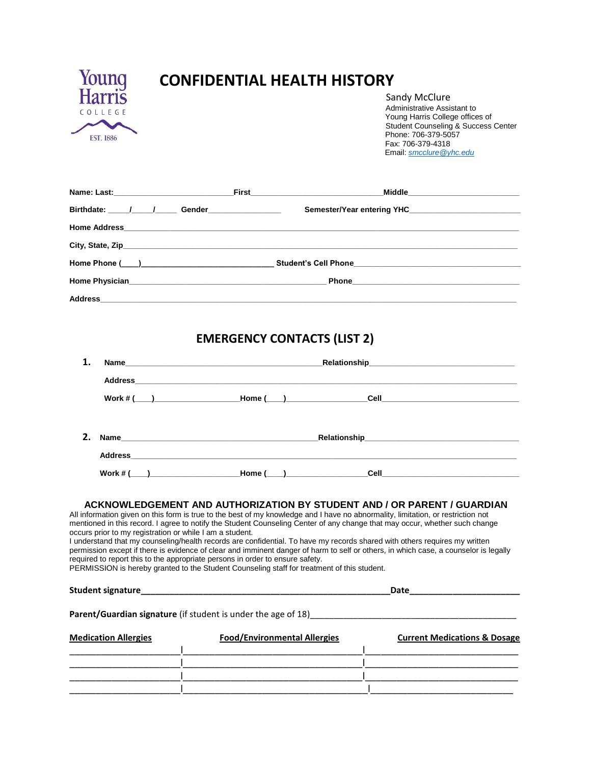

# **CONFIDENTIAL HEALTH HISTORY**

Sandy McClure Administrative Assistant to Young Harris College offices of Student Counseling & Success Center Phone: 706-379-5057 Fax: 706-379-4318 Email: *[smcclure@yhc.edu](mailto:smcclure@yhc.edu)*

|                         | Middle_______________________________ |  |
|-------------------------|---------------------------------------|--|
| Birthdate: 1 / / Gender |                                       |  |
|                         |                                       |  |
|                         |                                       |  |
|                         |                                       |  |
|                         |                                       |  |
|                         |                                       |  |

## **EMERGENCY CONTACTS (LIST 2)**

| 1. |                             | Name Relationship Relationship                                                                                                                                                                                                                                                                                                                                                                                                                                                                        |                                                                                                                                                                                                                                                                                                                                                                        |  |  |  |
|----|-----------------------------|-------------------------------------------------------------------------------------------------------------------------------------------------------------------------------------------------------------------------------------------------------------------------------------------------------------------------------------------------------------------------------------------------------------------------------------------------------------------------------------------------------|------------------------------------------------------------------------------------------------------------------------------------------------------------------------------------------------------------------------------------------------------------------------------------------------------------------------------------------------------------------------|--|--|--|
|    |                             |                                                                                                                                                                                                                                                                                                                                                                                                                                                                                                       |                                                                                                                                                                                                                                                                                                                                                                        |  |  |  |
|    |                             |                                                                                                                                                                                                                                                                                                                                                                                                                                                                                                       |                                                                                                                                                                                                                                                                                                                                                                        |  |  |  |
| 2. |                             |                                                                                                                                                                                                                                                                                                                                                                                                                                                                                                       |                                                                                                                                                                                                                                                                                                                                                                        |  |  |  |
|    |                             |                                                                                                                                                                                                                                                                                                                                                                                                                                                                                                       |                                                                                                                                                                                                                                                                                                                                                                        |  |  |  |
|    |                             |                                                                                                                                                                                                                                                                                                                                                                                                                                                                                                       |                                                                                                                                                                                                                                                                                                                                                                        |  |  |  |
|    |                             | mentioned in this record. I agree to notify the Student Counseling Center of any change that may occur, whether such change<br>occurs prior to my registration or while I am a student.<br>I understand that my counseling/health records are confidential. To have my records shared with others requires my written<br>required to report this to the appropriate persons in order to ensure safety.<br>PERMISSION is hereby granted to the Student Counseling staff for treatment of this student. | permission except if there is evidence of clear and imminent danger of harm to self or others, in which case, a counselor is legally<br>Date Participate and the contract of the contract of the contract of the contract of the contract of the contract of the contract of the contract of the contract of the contract of the contract of the contract of the contr |  |  |  |
|    |                             |                                                                                                                                                                                                                                                                                                                                                                                                                                                                                                       | Parent/Guardian signature (if student is under the age of 18) <b>Contract Contract Contract Contract Contract Control</b>                                                                                                                                                                                                                                              |  |  |  |
|    | <b>Medication Allergies</b> | <b>Food/Environmental Allergies</b>                                                                                                                                                                                                                                                                                                                                                                                                                                                                   | <b>Current Medications &amp; Dosage</b>                                                                                                                                                                                                                                                                                                                                |  |  |  |
|    |                             |                                                                                                                                                                                                                                                                                                                                                                                                                                                                                                       | <u> 1989 - Johann Stein, mars and de Britannich (b. 1989)</u>                                                                                                                                                                                                                                                                                                          |  |  |  |
|    |                             |                                                                                                                                                                                                                                                                                                                                                                                                                                                                                                       |                                                                                                                                                                                                                                                                                                                                                                        |  |  |  |
|    |                             |                                                                                                                                                                                                                                                                                                                                                                                                                                                                                                       |                                                                                                                                                                                                                                                                                                                                                                        |  |  |  |